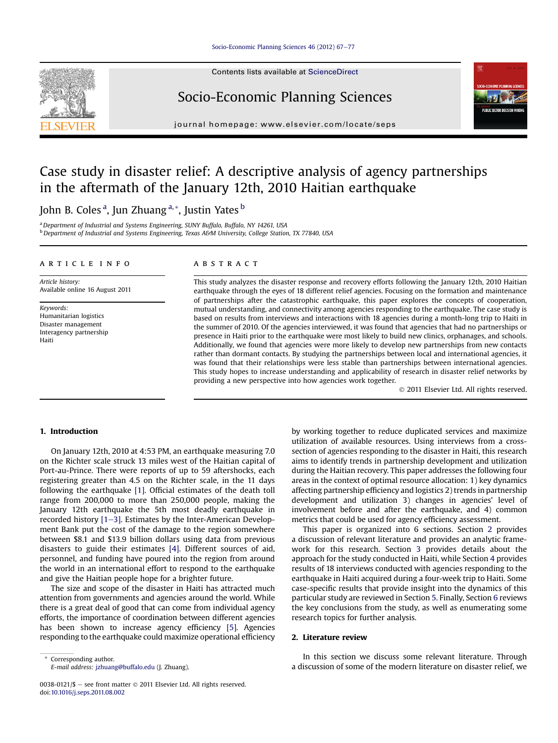#### [Socio-Economic Planning Sciences 46 \(2012\) 67](http://dx.doi.org/10.1016/j.seps.2011.08.002)-[77](http://dx.doi.org/10.1016/j.seps.2011.08.002)



Contents lists available at ScienceDirect

# Socio-Economic Planning Sciences



journal homepage: [www.elsevier.com/locate/seps](http://www.elsevier.com/locate/seps)

# Case study in disaster relief: A descriptive analysis of agency partnerships in the aftermath of the January 12th, 2010 Haitian earthquake

John B. Coles <sup>a</sup>, Jun Zhuang <sup>a, \*</sup>, Justin Yates <sup>b</sup>

<sup>a</sup> Department of Industrial and Systems Engineering, SUNY Buffalo, Buffalo, NY 14261, USA <sup>b</sup> Department of Industrial and Systems Engineering, Texas A&M University, College Station, TX 77840, USA

#### article info

Article history: Available online 16 August 2011

Keywords: Humanitarian logistics Disaster management Interagency partnership Haiti

## ABSTRACT

This study analyzes the disaster response and recovery efforts following the January 12th, 2010 Haitian earthquake through the eyes of 18 different relief agencies. Focusing on the formation and maintenance of partnerships after the catastrophic earthquake, this paper explores the concepts of cooperation, mutual understanding, and connectivity among agencies responding to the earthquake. The case study is based on results from interviews and interactions with 18 agencies during a month-long trip to Haiti in the summer of 2010. Of the agencies interviewed, it was found that agencies that had no partnerships or presence in Haiti prior to the earthquake were most likely to build new clinics, orphanages, and schools. Additionally, we found that agencies were more likely to develop new partnerships from new contacts rather than dormant contacts. By studying the partnerships between local and international agencies, it was found that their relationships were less stable than partnerships between international agencies. This study hopes to increase understanding and applicability of research in disaster relief networks by providing a new perspective into how agencies work together.

2011 Elsevier Ltd. All rights reserved.

# 1. Introduction

On January 12th, 2010 at 4:53 PM, an earthquake measuring 7.0 on the Richter scale struck 13 miles west of the Haitian capital of Port-au-Prince. There were reports of up to 59 aftershocks, each registering greater than 4.5 on the Richter scale, in the 11 days following the earthquake [\[1\]](#page--1-0). Official estimates of the death toll range from 200,000 to more than 250,000 people, making the January 12th earthquake the 5th most deadly earthquake in recorded history  $[1-3]$  $[1-3]$ . Estimates by the Inter-American Development Bank put the cost of the damage to the region somewhere between \$8.1 and \$13.9 billion dollars using data from previous disasters to guide their estimates [\[4\]](#page--1-0). Different sources of aid, personnel, and funding have poured into the region from around the world in an international effort to respond to the earthquake and give the Haitian people hope for a brighter future.

The size and scope of the disaster in Haiti has attracted much attention from governments and agencies around the world. While there is a great deal of good that can come from individual agency efforts, the importance of coordination between different agencies has been shown to increase agency efficiency [\[5\]](#page--1-0). Agencies responding to the earthquake could maximize operational efficiency

Corresponding author. E-mail address: [jzhuang@buffalo.edu](mailto:jzhuang@buffalo.edu) (J. Zhuang).

0038-0121/\$ - see front matter  $\odot$  2011 Elsevier Ltd. All rights reserved. doi[:10.1016/j.seps.2011.08.002](http://dx.doi.org/10.1016/j.seps.2011.08.002)

by working together to reduce duplicated services and maximize utilization of available resources. Using interviews from a crosssection of agencies responding to the disaster in Haiti, this research aims to identify trends in partnership development and utilization during the Haitian recovery. This paper addresses the following four areas in the context of optimal resource allocation: 1) key dynamics affecting partnership efficiency and logistics 2) trends in partnership development and utilization 3) changes in agencies' level of involvement before and after the earthquake, and 4) common metrics that could be used for agency efficiency assessment.

This paper is organized into 6 sections. Section 2 provides a discussion of relevant literature and provides an analytic framework for this research. Section [3](#page-1-0) provides details about the approach for the study conducted in Haiti, while Section [4](#page--1-0) provides results of 18 interviews conducted with agencies responding to the earthquake in Haiti acquired during a four-week trip to Haiti. Some case-specific results that provide insight into the dynamics of this particular study are reviewed in Section [5.](#page--1-0) Finally, Section [6](#page--1-0) reviews the key conclusions from the study, as well as enumerating some research topics for further analysis.

# 2. Literature review

In this section we discuss some relevant literature. Through a discussion of some of the modern literature on disaster relief, we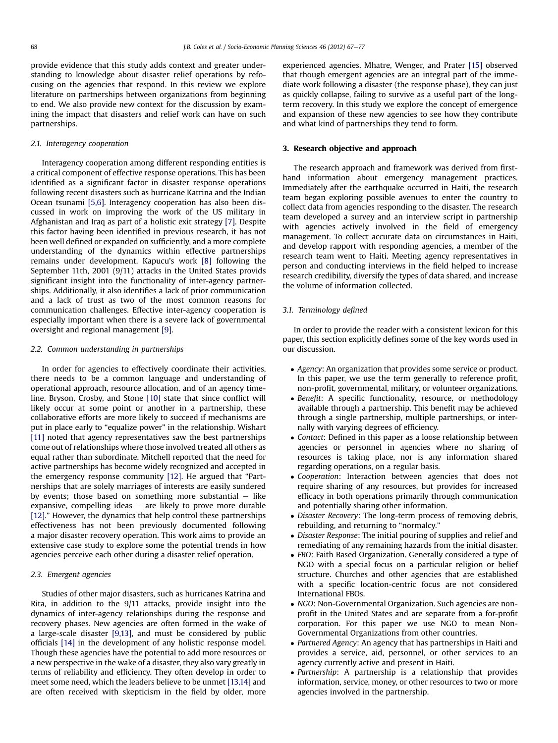<span id="page-1-0"></span>provide evidence that this study adds context and greater understanding to knowledge about disaster relief operations by refocusing on the agencies that respond. In this review we explore literature on partnerships between organizations from beginning to end. We also provide new context for the discussion by examining the impact that disasters and relief work can have on such partnerships.

#### 2.1. Interagency cooperation

Interagency cooperation among different responding entities is a critical component of effective response operations. This has been identified as a significant factor in disaster response operations following recent disasters such as hurricane Katrina and the Indian Ocean tsunami [\[5,6\]](#page--1-0). Interagency cooperation has also been discussed in work on improving the work of the US military in Afghanistan and Iraq as part of a holistic exit strategy [\[7\].](#page--1-0) Despite this factor having been identified in previous research, it has not been well defined or expanded on sufficiently, and a more complete understanding of the dynamics within effective partnerships remains under development. Kapucu's work [\[8\]](#page--1-0) following the September 11th, 2001 (9/11) attacks in the United States provids significant insight into the functionality of inter-agency partnerships. Additionally, it also identifies a lack of prior communication and a lack of trust as two of the most common reasons for communication challenges. Effective inter-agency cooperation is especially important when there is a severe lack of governmental oversight and regional management [\[9\]](#page--1-0).

#### 2.2. Common understanding in partnerships

In order for agencies to effectively coordinate their activities, there needs to be a common language and understanding of operational approach, resource allocation, and of an agency timeline. Bryson, Crosby, and Stone [\[10\]](#page--1-0) state that since conflict will likely occur at some point or another in a partnership, these collaborative efforts are more likely to succeed if mechanisms are put in place early to "equalize power" in the relationship. Wishart [\[11\]](#page--1-0) noted that agency representatives saw the best partnerships come out of relationships where those involved treated all others as equal rather than subordinate. Mitchell reported that the need for active partnerships has become widely recognized and accepted in the emergency response community [\[12\].](#page--1-0) He argued that "Partnerships that are solely marriages of interests are easily sundered by events; those based on something more substantial  $-$  like expansive, compelling ideas  $-$  are likely to prove more durable [\[12\].](#page--1-0)" However, the dynamics that help control these partnerships effectiveness has not been previously documented following a major disaster recovery operation. This work aims to provide an extensive case study to explore some the potential trends in how agencies perceive each other during a disaster relief operation.

### 2.3. Emergent agencies

Studies of other major disasters, such as hurricanes Katrina and Rita, in addition to the 9/11 attacks, provide insight into the dynamics of inter-agency relationships during the response and recovery phases. New agencies are often formed in the wake of a large-scale disaster [\[9,13\],](#page--1-0) and must be considered by public officials [\[14\]](#page--1-0) in the development of any holistic response model. Though these agencies have the potential to add more resources or a new perspective in the wake of a disaster, they also vary greatly in terms of reliability and efficiency. They often develop in order to meet some need, which the leaders believe to be unmet [\[13,14\]](#page--1-0) and are often received with skepticism in the field by older, more experienced agencies. Mhatre, Wenger, and Prater [\[15\]](#page--1-0) observed that though emergent agencies are an integral part of the immediate work following a disaster (the response phase), they can just as quickly collapse, failing to survive as a useful part of the longterm recovery. In this study we explore the concept of emergence and expansion of these new agencies to see how they contribute and what kind of partnerships they tend to form.

#### 3. Research objective and approach

The research approach and framework was derived from firsthand information about emergency management practices. Immediately after the earthquake occurred in Haiti, the research team began exploring possible avenues to enter the country to collect data from agencies responding to the disaster. The research team developed a survey and an interview script in partnership with agencies actively involved in the field of emergency management. To collect accurate data on circumstances in Haiti, and develop rapport with responding agencies, a member of the research team went to Haiti. Meeting agency representatives in person and conducting interviews in the field helped to increase research credibility, diversify the types of data shared, and increase the volume of information collected.

# 3.1. Terminology defined

In order to provide the reader with a consistent lexicon for this paper, this section explicitly defines some of the key words used in our discussion.

- Agency: An organization that provides some service or product. In this paper, we use the term generally to reference profit, non-profit, governmental, military, or volunteer organizations.
- Benefit: A specific functionality, resource, or methodology available through a partnership. This benefit may be achieved through a single partnership, multiple partnerships, or internally with varying degrees of efficiency.
- Contact: Defined in this paper as a loose relationship between agencies or personnel in agencies where no sharing of resources is taking place, nor is any information shared regarding operations, on a regular basis.
- Cooperation: Interaction between agencies that does not require sharing of any resources, but provides for increased efficacy in both operations primarily through communication and potentially sharing other information.
- Disaster Recovery: The long-term process of removing debris, rebuilding, and returning to "normalcy."
- Disaster Response: The initial pouring of supplies and relief and remediating of any remaining hazards from the initial disaster.
- FBO: Faith Based Organization. Generally considered a type of NGO with a special focus on a particular religion or belief structure. Churches and other agencies that are established with a specific location-centric focus are not considered International FBOs.
- NGO: Non-Governmental Organization. Such agencies are nonprofit in the United States and are separate from a for-profit corporation. For this paper we use NGO to mean Non-Governmental Organizations from other countries.
- Partnered Agency: An agency that has partnerships in Haiti and provides a service, aid, personnel, or other services to an agency currently active and present in Haiti.
- Partnership: A partnership is a relationship that provides information, service, money, or other resources to two or more agencies involved in the partnership.